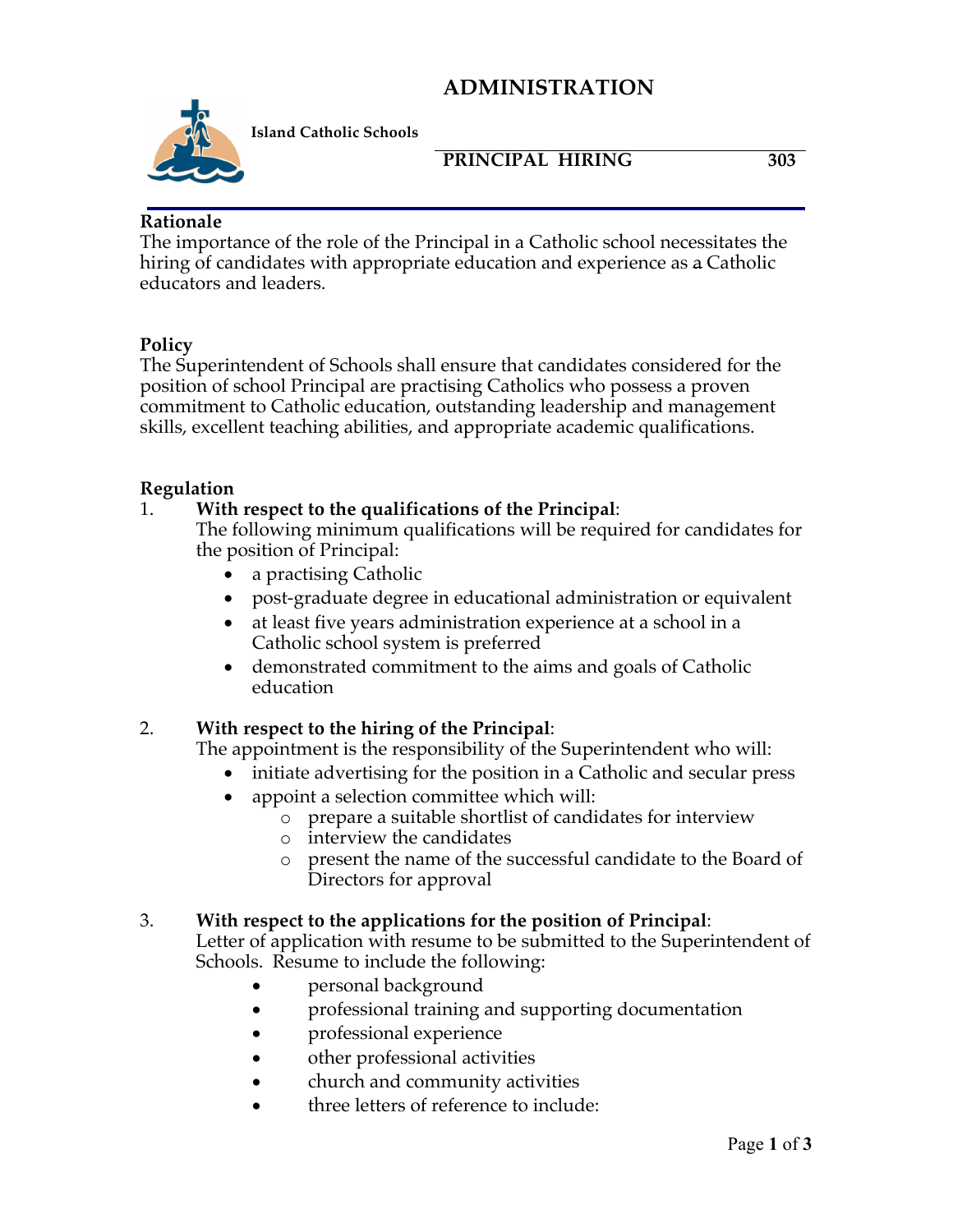## **ADMINISTRATION**



**Island Catholic Schools** 

## **PRINCIPAL HIRING 303**

#### **Rationale**

The importance of the role of the Principal in a Catholic school necessitates the hiring of candidates with appropriate education and experience as a Catholic educators and leaders.

### **Policy**

The Superintendent of Schools shall ensure that candidates considered for the position of school Principal are practising Catholics who possess a proven commitment to Catholic education, outstanding leadership and management skills, excellent teaching abilities, and appropriate academic qualifications.

### **Regulation**

### 1. **With respect to the qualifications of the Principal**:

The following minimum qualifications will be required for candidates for the position of Principal:

- a practising Catholic
- post-graduate degree in educational administration or equivalent
- at least five years administration experience at a school in a Catholic school system is preferred
- demonstrated commitment to the aims and goals of Catholic education

## 2. **With respect to the hiring of the Principal**:

The appointment is the responsibility of the Superintendent who will:

- initiate advertising for the position in a Catholic and secular press
- appoint a selection committee which will:
	- o prepare a suitable shortlist of candidates for interview
		- o interview the candidates
		- o present the name of the successful candidate to the Board of Directors for approval

### 3. **With respect to the applications for the position of Principal**:

Letter of application with resume to be submitted to the Superintendent of Schools. Resume to include the following:

- **personal background**
- professional training and supporting documentation
- **professional experience**
- other professional activities
- church and community activities
- three letters of reference to include: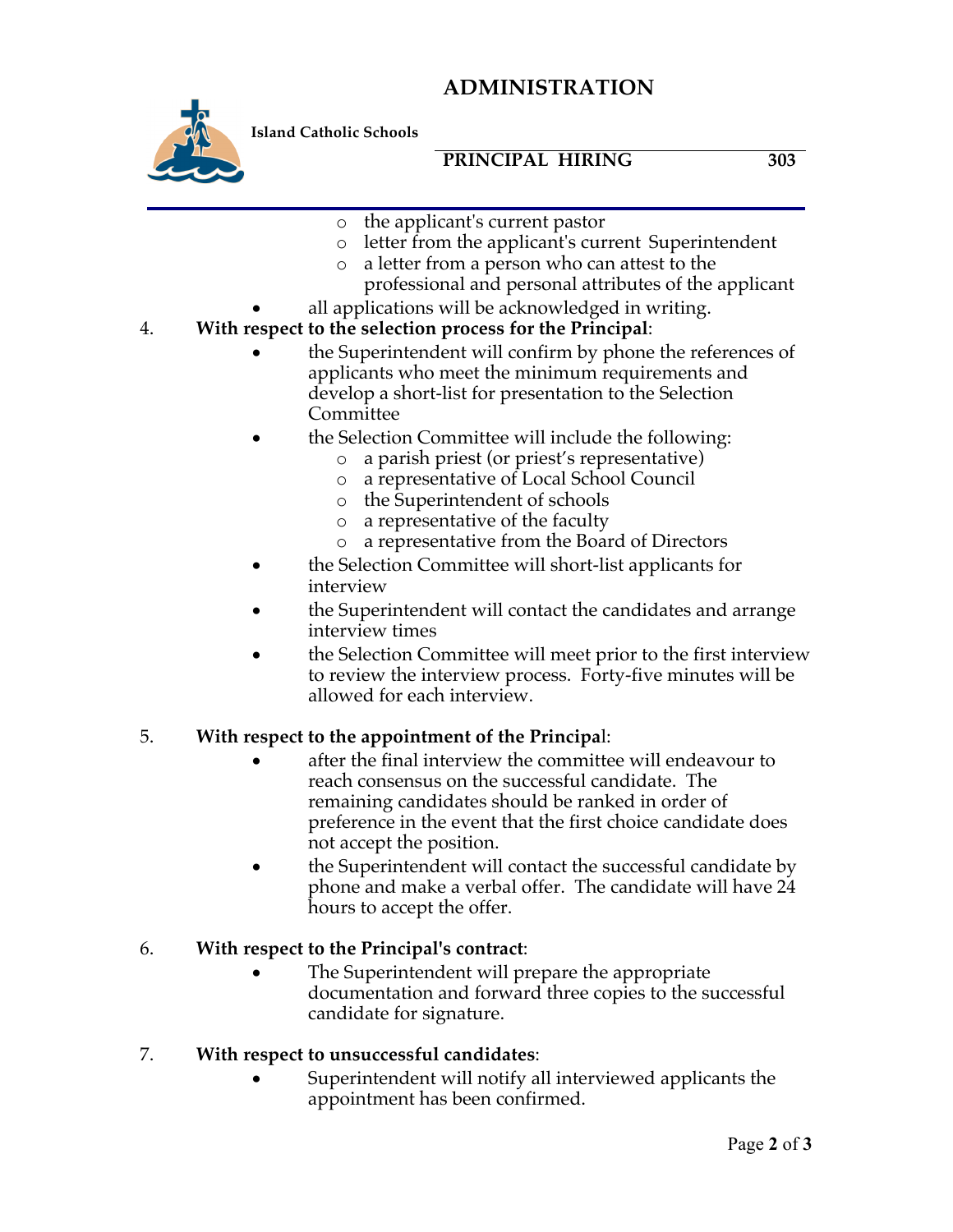## **ADMINISTRATION**



**Island Catholic Schools** 

## **PRINCIPAL HIRING 303**

- o the applicant's current pastor
- o letter from the applicant's current Superintendent
- o a letter from a person who can attest to the professional and personal attributes of the applicant
- all applications will be acknowledged in writing.

## 4. **With respect to the selection process for the Principal**:

- the Superintendent will confirm by phone the references of applicants who meet the minimum requirements and develop a short-list for presentation to the Selection Committee
- the Selection Committee will include the following:
	- o a parish priest (or priest's representative)
	- o a representative of Local School Council
	- o the Superintendent of schools
	- o a representative of the faculty
	- o a representative from the Board of Directors
- the Selection Committee will short-list applicants for interview
- the Superintendent will contact the candidates and arrange interview times
- the Selection Committee will meet prior to the first interview to review the interview process. Forty-five minutes will be allowed for each interview.

### 5. **With respect to the appointment of the Principa**l:

- after the final interview the committee will endeavour to reach consensus on the successful candidate. The remaining candidates should be ranked in order of preference in the event that the first choice candidate does not accept the position.
- the Superintendent will contact the successful candidate by phone and make a verbal offer. The candidate will have 24 hours to accept the offer.

## 6. **With respect to the Principal's contract**:

The Superintendent will prepare the appropriate documentation and forward three copies to the successful candidate for signature.

### 7. **With respect to unsuccessful candidates**:

• Superintendent will notify all interviewed applicants the appointment has been confirmed.